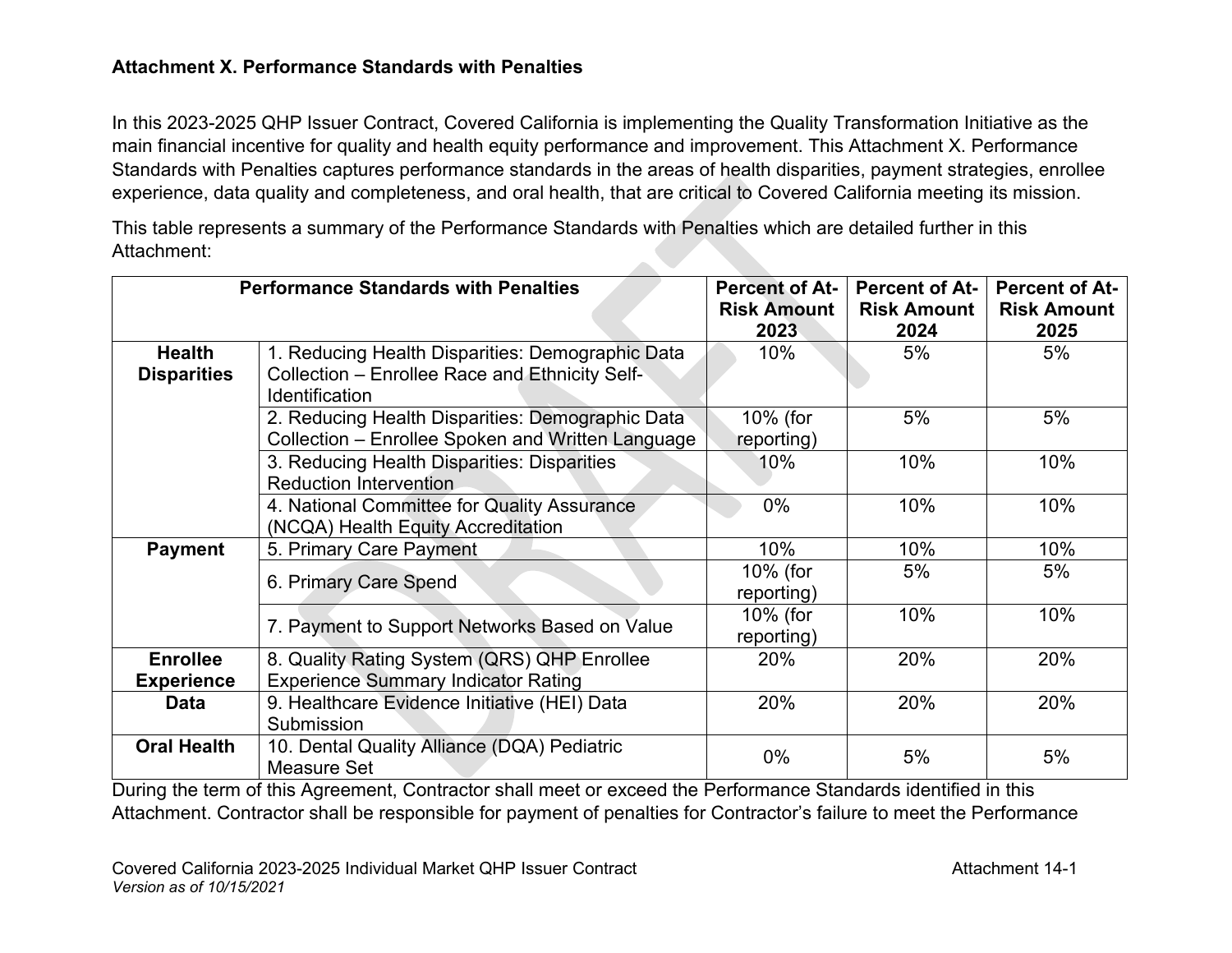# **Attachment X. Performance Standards with Penalties**

In this 2023-2025 QHP Issuer Contract, Covered California is implementing the Quality Transformation Initiative as the main financial incentive for quality and health equity performance and improvement. This Attachment X. Performance Standards with Penalties captures performance standards in the areas of health disparities, payment strategies, enrollee experience, data quality and completeness, and oral health, that are critical to Covered California meeting its mission.

This table represents a summary of the Performance Standards with Penalties which are detailed further in this Attachment:  $\mathcal{L}$ 

| <b>Performance Standards with Penalties</b> |                                                   | <b>Percent of At-</b> | <b>Percent of At-</b> | <b>Percent of At-</b> |
|---------------------------------------------|---------------------------------------------------|-----------------------|-----------------------|-----------------------|
|                                             |                                                   | <b>Risk Amount</b>    | <b>Risk Amount</b>    | <b>Risk Amount</b>    |
|                                             |                                                   | 2023                  | 2024                  | 2025                  |
| <b>Health</b>                               | 1. Reducing Health Disparities: Demographic Data  | $10\%$                | 5%                    | 5%                    |
| <b>Disparities</b>                          | Collection - Enrollee Race and Ethnicity Self-    |                       |                       |                       |
|                                             | <b>Identification</b>                             |                       |                       |                       |
|                                             | 2. Reducing Health Disparities: Demographic Data  | 10% (for              | 5%                    | 5%                    |
|                                             | Collection – Enrollee Spoken and Written Language | reporting)            |                       |                       |
|                                             | 3. Reducing Health Disparities: Disparities       | 10%                   | 10%                   | 10%                   |
|                                             | <b>Reduction Intervention</b>                     |                       |                       |                       |
|                                             | 4. National Committee for Quality Assurance       | $0\%$                 | 10%                   | 10%                   |
|                                             | (NCQA) Health Equity Accreditation                |                       |                       |                       |
| <b>Payment</b>                              | 5. Primary Care Payment                           | 10%                   | 10%                   | 10%                   |
|                                             | 6. Primary Care Spend                             | 10% (for              | 5%                    | 5%                    |
|                                             |                                                   | reporting)            |                       |                       |
|                                             |                                                   | 10% (for              | 10%                   | 10%                   |
|                                             | 7. Payment to Support Networks Based on Value     | reporting)            |                       |                       |
| <b>Enrollee</b>                             | 8. Quality Rating System (QRS) QHP Enrollee       | 20%                   | 20%                   | 20%                   |
| <b>Experience</b>                           | <b>Experience Summary Indicator Rating</b>        |                       |                       |                       |
| Data                                        | 9. Healthcare Evidence Initiative (HEI) Data      | 20%                   | 20%                   | 20%                   |
|                                             | Submission                                        |                       |                       |                       |
| <b>Oral Health</b>                          | 10. Dental Quality Alliance (DQA) Pediatric       | $0\%$                 | 5%                    | 5%                    |
|                                             | Measure Set                                       |                       |                       |                       |

During the term of this Agreement, Contractor shall meet or exceed the Performance Standards identified in this Attachment. Contractor shall be responsible for payment of penalties for Contractor's failure to meet the Performance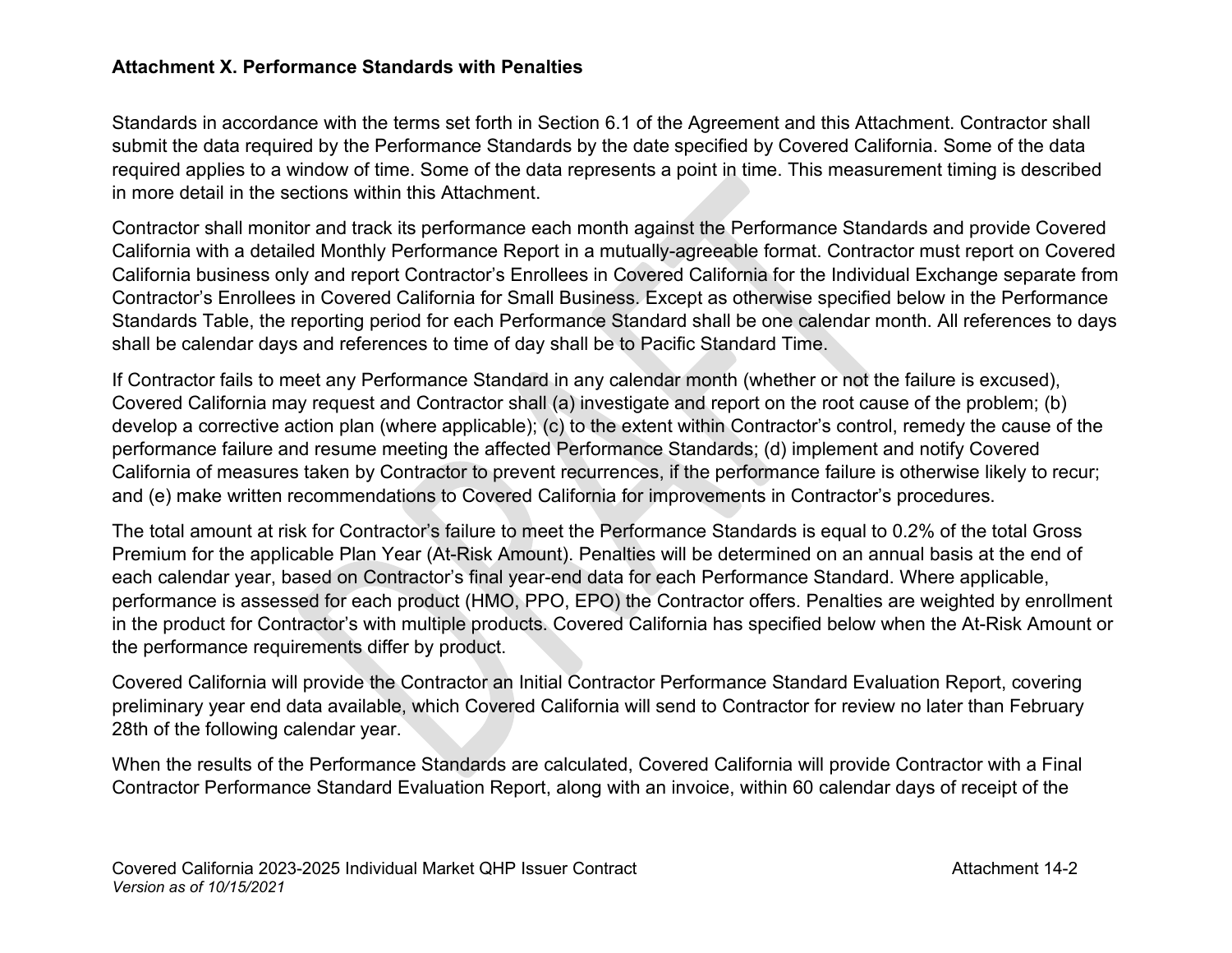## **Attachment X. Performance Standards with Penalties**

Standards in accordance with the terms set forth in Section 6.1 of the Agreement and this Attachment. Contractor shall submit the data required by the Performance Standards by the date specified by Covered California. Some of the data required applies to a window of time. Some of the data represents a point in time. This measurement timing is described in more detail in the sections within this Attachment.

Contractor shall monitor and track its performance each month against the Performance Standards and provide Covered California with a detailed Monthly Performance Report in a mutually-agreeable format. Contractor must report on Covered California business only and report Contractor's Enrollees in Covered California for the Individual Exchange separate from Contractor's Enrollees in Covered California for Small Business. Except as otherwise specified below in the Performance Standards Table, the reporting period for each Performance Standard shall be one calendar month. All references to days shall be calendar days and references to time of day shall be to Pacific Standard Time.

If Contractor fails to meet any Performance Standard in any calendar month (whether or not the failure is excused), Covered California may request and Contractor shall (a) investigate and report on the root cause of the problem; (b) develop a corrective action plan (where applicable); (c) to the extent within Contractor's control, remedy the cause of the performance failure and resume meeting the affected Performance Standards; (d) implement and notify Covered California of measures taken by Contractor to prevent recurrences, if the performance failure is otherwise likely to recur; and (e) make written recommendations to Covered California for improvements in Contractor's procedures.

The total amount at risk for Contractor's failure to meet the Performance Standards is equal to 0.2% of the total Gross Premium for the applicable Plan Year (At-Risk Amount). Penalties will be determined on an annual basis at the end of each calendar year, based on Contractor's final year-end data for each Performance Standard. Where applicable, performance is assessed for each product (HMO, PPO, EPO) the Contractor offers. Penalties are weighted by enrollment in the product for Contractor's with multiple products. Covered California has specified below when the At-Risk Amount or the performance requirements differ by product.

Covered California will provide the Contractor an Initial Contractor Performance Standard Evaluation Report, covering preliminary year end data available, which Covered California will send to Contractor for review no later than February 28th of the following calendar year.

When the results of the Performance Standards are calculated, Covered California will provide Contractor with a Final Contractor Performance Standard Evaluation Report, along with an invoice, within 60 calendar days of receipt of the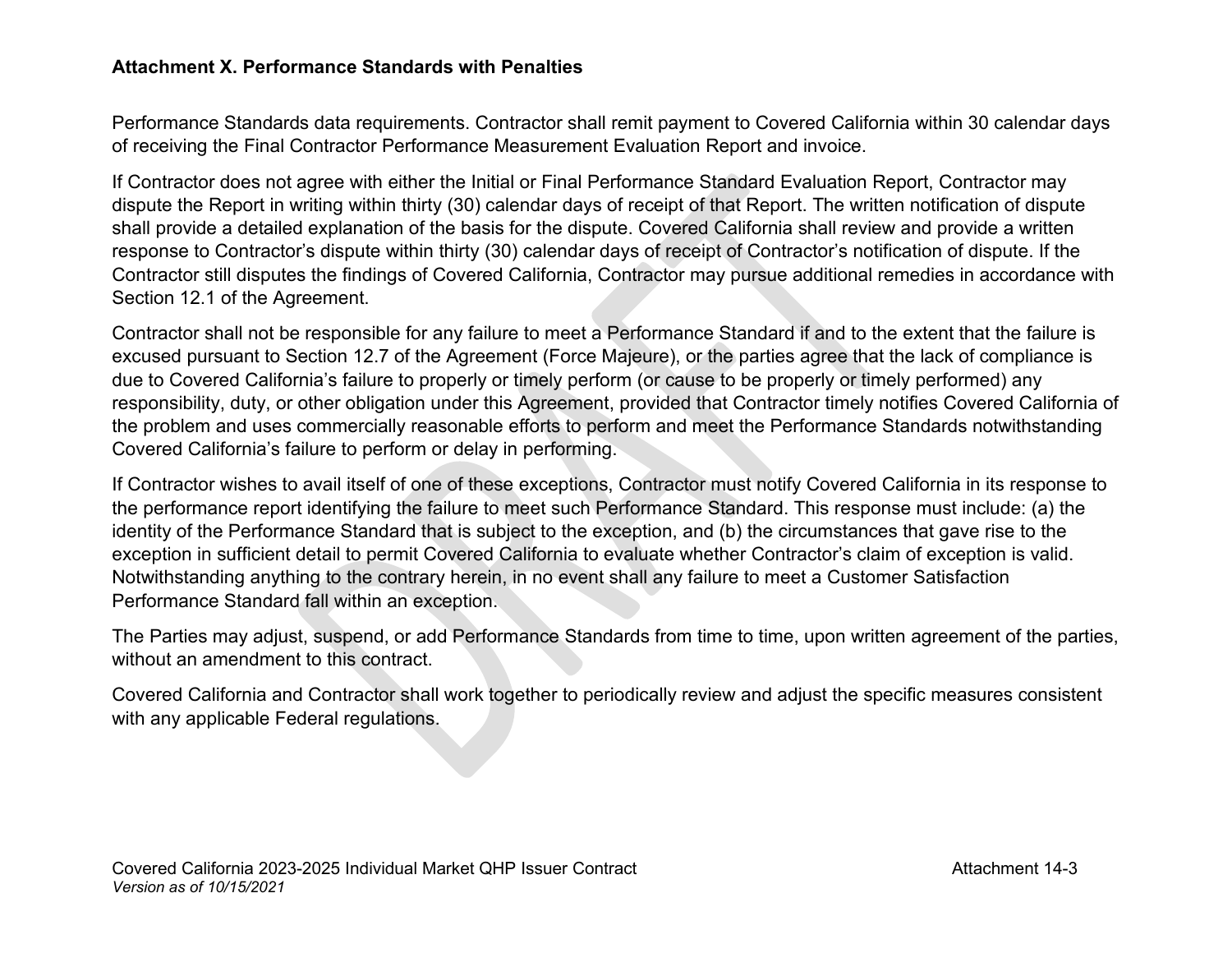## **Attachment X. Performance Standards with Penalties**

Performance Standards data requirements. Contractor shall remit payment to Covered California within 30 calendar days of receiving the Final Contractor Performance Measurement Evaluation Report and invoice.

If Contractor does not agree with either the Initial or Final Performance Standard Evaluation Report, Contractor may dispute the Report in writing within thirty (30) calendar days of receipt of that Report. The written notification of dispute shall provide a detailed explanation of the basis for the dispute. Covered California shall review and provide a written response to Contractor's dispute within thirty (30) calendar days of receipt of Contractor's notification of dispute. If the Contractor still disputes the findings of Covered California, Contractor may pursue additional remedies in accordance with Section 12.1 of the Agreement.

Contractor shall not be responsible for any failure to meet a Performance Standard if and to the extent that the failure is excused pursuant to Section 12.7 of the Agreement (Force Majeure), or the parties agree that the lack of compliance is due to Covered California's failure to properly or timely perform (or cause to be properly or timely performed) any responsibility, duty, or other obligation under this Agreement, provided that Contractor timely notifies Covered California of the problem and uses commercially reasonable efforts to perform and meet the Performance Standards notwithstanding Covered California's failure to perform or delay in performing.

If Contractor wishes to avail itself of one of these exceptions, Contractor must notify Covered California in its response to the performance report identifying the failure to meet such Performance Standard. This response must include: (a) the identity of the Performance Standard that is subject to the exception, and (b) the circumstances that gave rise to the exception in sufficient detail to permit Covered California to evaluate whether Contractor's claim of exception is valid. Notwithstanding anything to the contrary herein, in no event shall any failure to meet a Customer Satisfaction Performance Standard fall within an exception.

The Parties may adjust, suspend, or add Performance Standards from time to time, upon written agreement of the parties, without an amendment to this contract.

Covered California and Contractor shall work together to periodically review and adjust the specific measures consistent with any applicable Federal regulations.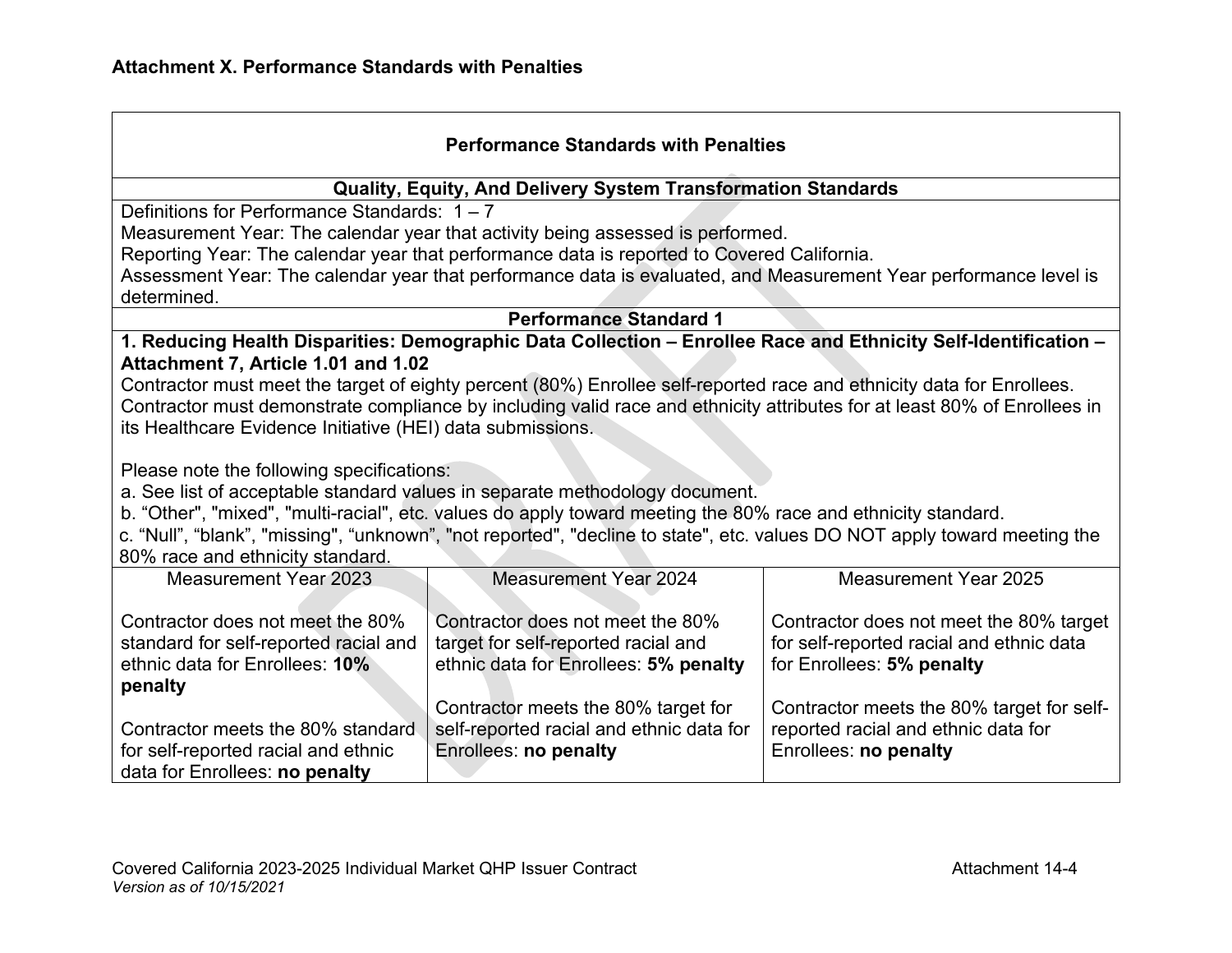| <b>Performance Standards with Penalties</b>                |                                                                                                                       |                                                                                                                           |  |
|------------------------------------------------------------|-----------------------------------------------------------------------------------------------------------------------|---------------------------------------------------------------------------------------------------------------------------|--|
|                                                            | Quality, Equity, And Delivery System Transformation Standards                                                         |                                                                                                                           |  |
| Definitions for Performance Standards: $1 - 7$             |                                                                                                                       |                                                                                                                           |  |
|                                                            | Measurement Year: The calendar year that activity being assessed is performed.                                        |                                                                                                                           |  |
|                                                            | Reporting Year: The calendar year that performance data is reported to Covered California.                            |                                                                                                                           |  |
|                                                            |                                                                                                                       | Assessment Year: The calendar year that performance data is evaluated, and Measurement Year performance level is          |  |
| determined.                                                |                                                                                                                       |                                                                                                                           |  |
|                                                            | <b>Performance Standard 1</b>                                                                                         |                                                                                                                           |  |
|                                                            |                                                                                                                       | 1. Reducing Health Disparities: Demographic Data Collection - Enrollee Race and Ethnicity Self-Identification -           |  |
| Attachment 7, Article 1.01 and 1.02                        |                                                                                                                       |                                                                                                                           |  |
|                                                            | Contractor must meet the target of eighty percent (80%) Enrollee self-reported race and ethnicity data for Enrollees. |                                                                                                                           |  |
|                                                            |                                                                                                                       | Contractor must demonstrate compliance by including valid race and ethnicity attributes for at least 80% of Enrollees in  |  |
| its Healthcare Evidence Initiative (HEI) data submissions. |                                                                                                                       |                                                                                                                           |  |
|                                                            |                                                                                                                       |                                                                                                                           |  |
| Please note the following specifications:                  |                                                                                                                       |                                                                                                                           |  |
|                                                            | a. See list of acceptable standard values in separate methodology document.                                           |                                                                                                                           |  |
|                                                            | b. "Other", "mixed", "multi-racial", etc. values do apply toward meeting the 80% race and ethnicity standard.         |                                                                                                                           |  |
|                                                            |                                                                                                                       | c. "Null", "blank", "missing", "unknown", "not reported", "decline to state", etc. values DO NOT apply toward meeting the |  |
| 80% race and ethnicity standard.                           |                                                                                                                       |                                                                                                                           |  |
| <b>Measurement Year 2023</b>                               | <b>Measurement Year 2024</b>                                                                                          | <b>Measurement Year 2025</b>                                                                                              |  |
| Contractor does not meet the 80%                           | Contractor does not meet the 80%                                                                                      | Contractor does not meet the 80% target                                                                                   |  |
| standard for self-reported racial and                      | target for self-reported racial and                                                                                   | for self-reported racial and ethnic data                                                                                  |  |
| ethnic data for Enrollees: 10%                             | ethnic data for Enrollees: 5% penalty                                                                                 | for Enrollees: 5% penalty                                                                                                 |  |
|                                                            |                                                                                                                       |                                                                                                                           |  |
| penalty                                                    | Contractor meets the 80% target for                                                                                   | Contractor meets the 80% target for self-                                                                                 |  |
| Contractor meets the 80% standard                          | self-reported racial and ethnic data for                                                                              | reported racial and ethnic data for                                                                                       |  |
| for self-reported racial and ethnic                        | Enrollees: no penalty                                                                                                 | Enrollees: no penalty                                                                                                     |  |
| data for Enrollees: no penalty                             |                                                                                                                       |                                                                                                                           |  |
|                                                            |                                                                                                                       |                                                                                                                           |  |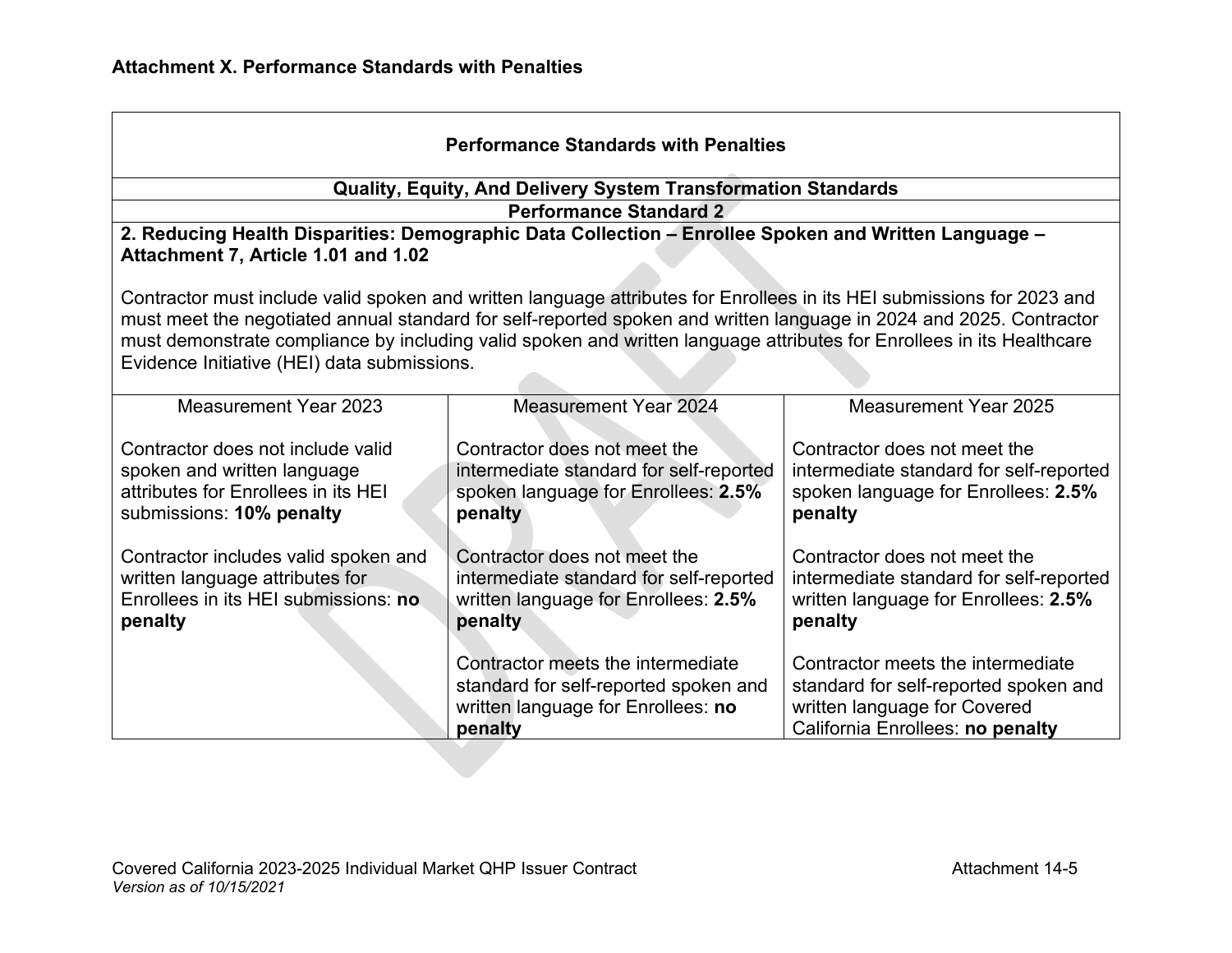| <b>Performance Standards with Penalties</b>                                                                                                                                                                                                                                                                                                                                                                           |                                                                                                                             |                                                                                                                                                |  |
|-----------------------------------------------------------------------------------------------------------------------------------------------------------------------------------------------------------------------------------------------------------------------------------------------------------------------------------------------------------------------------------------------------------------------|-----------------------------------------------------------------------------------------------------------------------------|------------------------------------------------------------------------------------------------------------------------------------------------|--|
|                                                                                                                                                                                                                                                                                                                                                                                                                       | <b>Quality, Equity, And Delivery System Transformation Standards</b>                                                        |                                                                                                                                                |  |
|                                                                                                                                                                                                                                                                                                                                                                                                                       | <b>Performance Standard 2</b>                                                                                               |                                                                                                                                                |  |
| Attachment 7, Article 1.01 and 1.02                                                                                                                                                                                                                                                                                                                                                                                   | 2. Reducing Health Disparities: Demographic Data Collection - Enrollee Spoken and Written Language -                        |                                                                                                                                                |  |
| Contractor must include valid spoken and written language attributes for Enrollees in its HEI submissions for 2023 and<br>must meet the negotiated annual standard for self-reported spoken and written language in 2024 and 2025. Contractor<br>must demonstrate compliance by including valid spoken and written language attributes for Enrollees in its Healthcare<br>Evidence Initiative (HEI) data submissions. |                                                                                                                             |                                                                                                                                                |  |
| Measurement Year 2023                                                                                                                                                                                                                                                                                                                                                                                                 | <b>Measurement Year 2024</b>                                                                                                | <b>Measurement Year 2025</b>                                                                                                                   |  |
| Contractor does not include valid<br>spoken and written language<br>attributes for Enrollees in its HEI<br>submissions: 10% penalty                                                                                                                                                                                                                                                                                   | Contractor does not meet the<br>intermediate standard for self-reported<br>spoken language for Enrollees: 2.5%<br>penalty   | Contractor does not meet the<br>intermediate standard for self-reported<br>spoken language for Enrollees: 2.5%<br>penalty                      |  |
| Contractor includes valid spoken and<br>written language attributes for<br>Enrollees in its HEI submissions: no<br>penalty                                                                                                                                                                                                                                                                                            | Contractor does not meet the<br>intermediate standard for self-reported<br>written language for Enrollees: 2.5%<br>penalty  | Contractor does not meet the<br>intermediate standard for self-reported<br>written language for Enrollees: 2.5%<br>penalty                     |  |
|                                                                                                                                                                                                                                                                                                                                                                                                                       | Contractor meets the intermediate<br>standard for self-reported spoken and<br>written language for Enrollees: no<br>penalty | Contractor meets the intermediate<br>standard for self-reported spoken and<br>written language for Covered<br>California Enrollees: no penalty |  |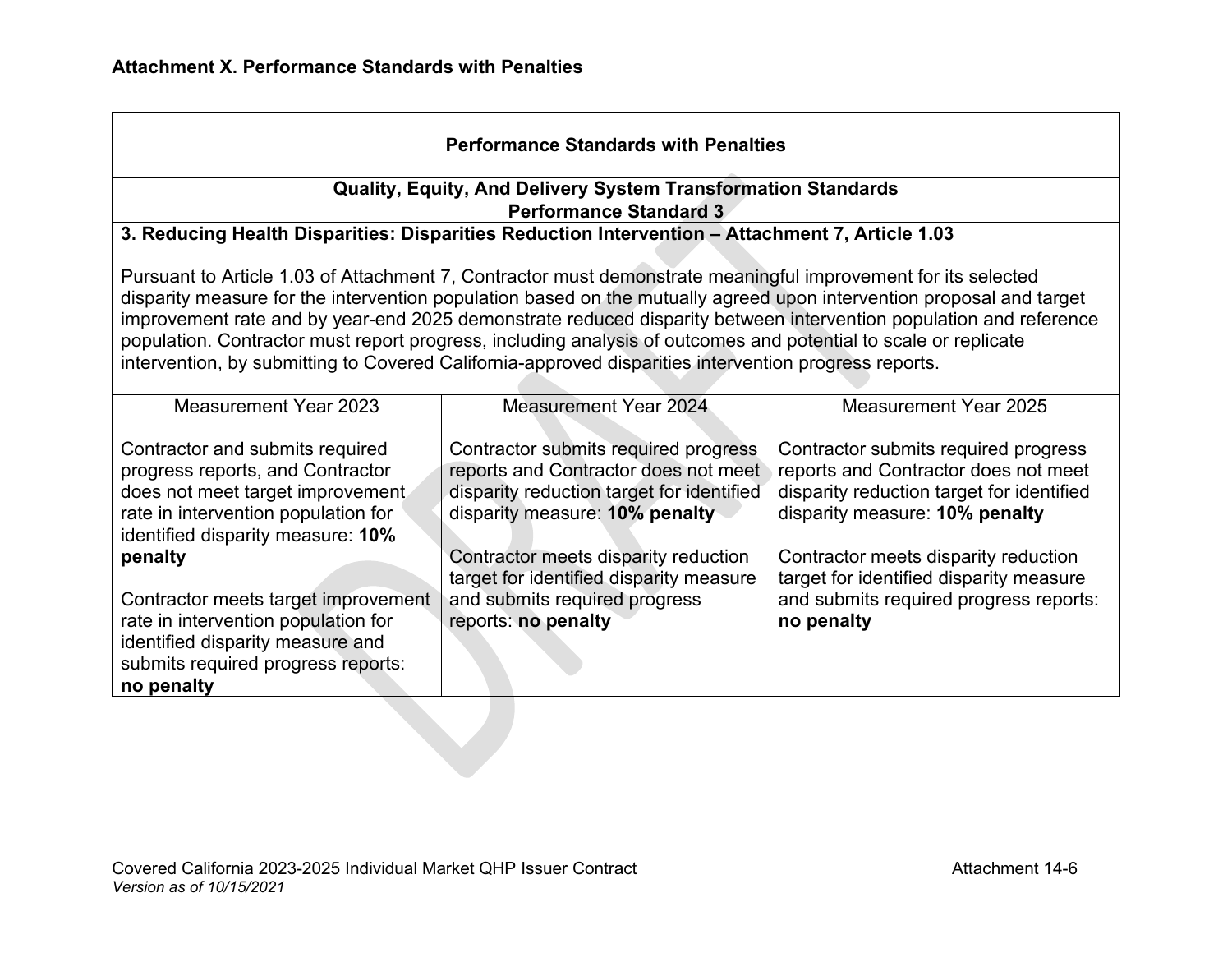| <b>Performance Standards with Penalties</b>                                                                                                                                                                                                                                                                                                                                                                                                                                                                                                                                            |                                                                                                                                                                                                                                                                                                        |                                                                                                                                                                                                                                                                                                        |  |
|----------------------------------------------------------------------------------------------------------------------------------------------------------------------------------------------------------------------------------------------------------------------------------------------------------------------------------------------------------------------------------------------------------------------------------------------------------------------------------------------------------------------------------------------------------------------------------------|--------------------------------------------------------------------------------------------------------------------------------------------------------------------------------------------------------------------------------------------------------------------------------------------------------|--------------------------------------------------------------------------------------------------------------------------------------------------------------------------------------------------------------------------------------------------------------------------------------------------------|--|
|                                                                                                                                                                                                                                                                                                                                                                                                                                                                                                                                                                                        | <b>Quality, Equity, And Delivery System Transformation Standards</b>                                                                                                                                                                                                                                   |                                                                                                                                                                                                                                                                                                        |  |
|                                                                                                                                                                                                                                                                                                                                                                                                                                                                                                                                                                                        | <b>Performance Standard 3</b>                                                                                                                                                                                                                                                                          |                                                                                                                                                                                                                                                                                                        |  |
|                                                                                                                                                                                                                                                                                                                                                                                                                                                                                                                                                                                        | 3. Reducing Health Disparities: Disparities Reduction Intervention - Attachment 7, Article 1.03                                                                                                                                                                                                        |                                                                                                                                                                                                                                                                                                        |  |
| Pursuant to Article 1.03 of Attachment 7, Contractor must demonstrate meaningful improvement for its selected<br>disparity measure for the intervention population based on the mutually agreed upon intervention proposal and target<br>improvement rate and by year-end 2025 demonstrate reduced disparity between intervention population and reference<br>population. Contractor must report progress, including analysis of outcomes and potential to scale or replicate<br>intervention, by submitting to Covered California-approved disparities intervention progress reports. |                                                                                                                                                                                                                                                                                                        |                                                                                                                                                                                                                                                                                                        |  |
| <b>Measurement Year 2023</b>                                                                                                                                                                                                                                                                                                                                                                                                                                                                                                                                                           | <b>Measurement Year 2024</b>                                                                                                                                                                                                                                                                           | <b>Measurement Year 2025</b>                                                                                                                                                                                                                                                                           |  |
| Contractor and submits required<br>progress reports, and Contractor<br>does not meet target improvement<br>rate in intervention population for<br>identified disparity measure: 10%<br>penalty<br>Contractor meets target improvement<br>rate in intervention population for<br>identified disparity measure and<br>submits required progress reports:<br>no penalty                                                                                                                                                                                                                   | Contractor submits required progress<br>reports and Contractor does not meet<br>disparity reduction target for identified<br>disparity measure: 10% penalty<br>Contractor meets disparity reduction<br>target for identified disparity measure<br>and submits required progress<br>reports: no penalty | Contractor submits required progress<br>reports and Contractor does not meet<br>disparity reduction target for identified<br>disparity measure: 10% penalty<br>Contractor meets disparity reduction<br>target for identified disparity measure<br>and submits required progress reports:<br>no penalty |  |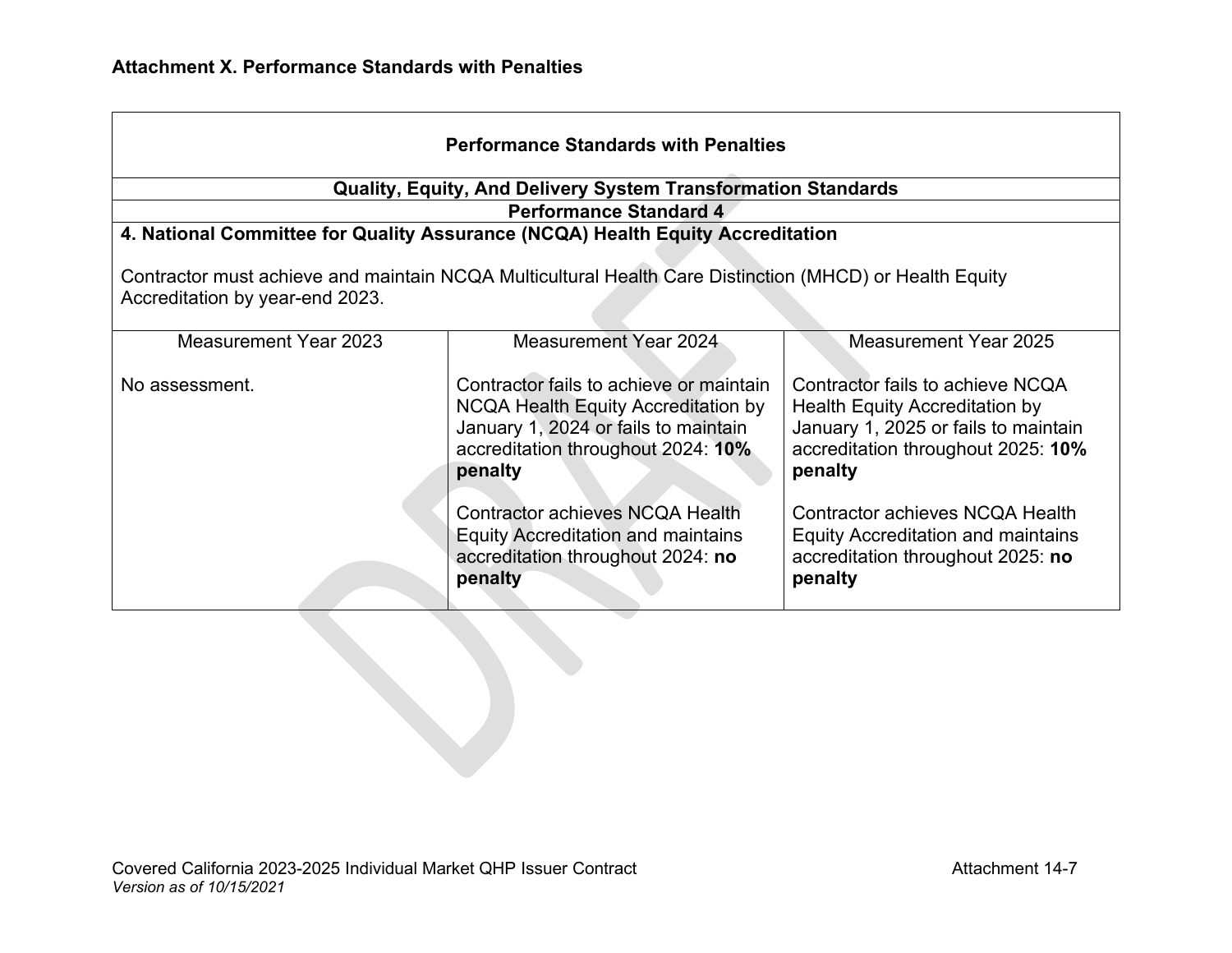| <b>Performance Standards with Penalties</b>                                                                                                |                                                                                                                                                                         |                                                                                                                                                             |  |
|--------------------------------------------------------------------------------------------------------------------------------------------|-------------------------------------------------------------------------------------------------------------------------------------------------------------------------|-------------------------------------------------------------------------------------------------------------------------------------------------------------|--|
|                                                                                                                                            | <b>Quality, Equity, And Delivery System Transformation Standards</b>                                                                                                    |                                                                                                                                                             |  |
|                                                                                                                                            | <b>Performance Standard 4</b>                                                                                                                                           |                                                                                                                                                             |  |
|                                                                                                                                            | 4. National Committee for Quality Assurance (NCQA) Health Equity Accreditation                                                                                          |                                                                                                                                                             |  |
| Contractor must achieve and maintain NCQA Multicultural Health Care Distinction (MHCD) or Health Equity<br>Accreditation by year-end 2023. |                                                                                                                                                                         |                                                                                                                                                             |  |
| Measurement Year 2023                                                                                                                      | Measurement Year 2024                                                                                                                                                   | Measurement Year 2025                                                                                                                                       |  |
| No assessment.                                                                                                                             | Contractor fails to achieve or maintain<br>NCQA Health Equity Accreditation by<br>January 1, 2024 or fails to maintain<br>accreditation throughout 2024: 10%<br>penalty | Contractor fails to achieve NCQA<br>Health Equity Accreditation by<br>January 1, 2025 or fails to maintain<br>accreditation throughout 2025: 10%<br>penalty |  |
|                                                                                                                                            | Contractor achieves NCQA Health<br><b>Equity Accreditation and maintains</b><br>accreditation throughout 2024: no<br>penalty                                            | Contractor achieves NCQA Health<br><b>Equity Accreditation and maintains</b><br>accreditation throughout 2025: no<br>penalty                                |  |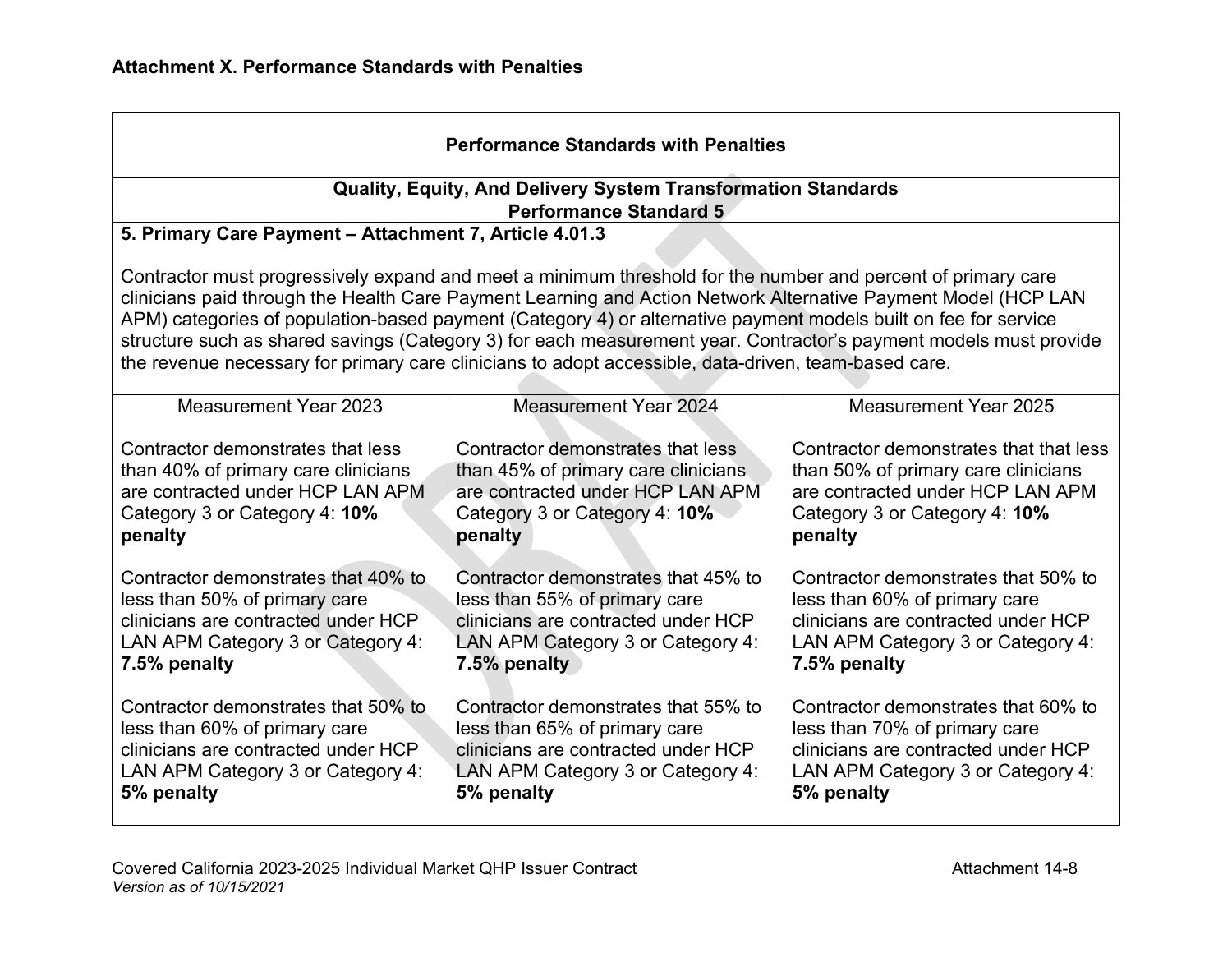| <b>Performance Standards with Penalties</b>                                                                                                                                                                                                                                                                                                                                                                                                                                                                                                                                    |                                                                                                                                                                  |                                                                                                                                                                  |  |
|--------------------------------------------------------------------------------------------------------------------------------------------------------------------------------------------------------------------------------------------------------------------------------------------------------------------------------------------------------------------------------------------------------------------------------------------------------------------------------------------------------------------------------------------------------------------------------|------------------------------------------------------------------------------------------------------------------------------------------------------------------|------------------------------------------------------------------------------------------------------------------------------------------------------------------|--|
|                                                                                                                                                                                                                                                                                                                                                                                                                                                                                                                                                                                | Quality, Equity, And Delivery System Transformation Standards                                                                                                    |                                                                                                                                                                  |  |
|                                                                                                                                                                                                                                                                                                                                                                                                                                                                                                                                                                                | <b>Performance Standard 5</b>                                                                                                                                    |                                                                                                                                                                  |  |
| 5. Primary Care Payment - Attachment 7, Article 4.01.3                                                                                                                                                                                                                                                                                                                                                                                                                                                                                                                         |                                                                                                                                                                  |                                                                                                                                                                  |  |
| Contractor must progressively expand and meet a minimum threshold for the number and percent of primary care<br>clinicians paid through the Health Care Payment Learning and Action Network Alternative Payment Model (HCP LAN<br>APM) categories of population-based payment (Category 4) or alternative payment models built on fee for service<br>structure such as shared savings (Category 3) for each measurement year. Contractor's payment models must provide<br>the revenue necessary for primary care clinicians to adopt accessible, data-driven, team-based care. |                                                                                                                                                                  |                                                                                                                                                                  |  |
| <b>Measurement Year 2023</b>                                                                                                                                                                                                                                                                                                                                                                                                                                                                                                                                                   | <b>Measurement Year 2024</b>                                                                                                                                     | Measurement Year 2025                                                                                                                                            |  |
| Contractor demonstrates that less<br>than 40% of primary care clinicians<br>are contracted under HCP LAN APM<br>Category 3 or Category 4: 10%<br>penalty                                                                                                                                                                                                                                                                                                                                                                                                                       | Contractor demonstrates that less<br>than 45% of primary care clinicians<br>are contracted under HCP LAN APM<br>Category 3 or Category 4: 10%<br>penalty         | Contractor demonstrates that that less<br>than 50% of primary care clinicians<br>are contracted under HCP LAN APM<br>Category 3 or Category 4: 10%<br>penalty    |  |
| Contractor demonstrates that 40% to<br>less than 50% of primary care<br>clinicians are contracted under HCP<br>LAN APM Category 3 or Category 4:<br>7.5% penalty                                                                                                                                                                                                                                                                                                                                                                                                               | Contractor demonstrates that 45% to<br>less than 55% of primary care<br>clinicians are contracted under HCP<br>LAN APM Category 3 or Category 4:<br>7.5% penalty | Contractor demonstrates that 50% to<br>less than 60% of primary care<br>clinicians are contracted under HCP<br>LAN APM Category 3 or Category 4:<br>7.5% penalty |  |
| Contractor demonstrates that 50% to<br>less than 60% of primary care<br>clinicians are contracted under HCP<br>LAN APM Category 3 or Category 4:<br>5% penalty                                                                                                                                                                                                                                                                                                                                                                                                                 | Contractor demonstrates that 55% to<br>less than 65% of primary care<br>clinicians are contracted under HCP<br>LAN APM Category 3 or Category 4:<br>5% penalty   | Contractor demonstrates that 60% to<br>less than 70% of primary care<br>clinicians are contracted under HCP<br>LAN APM Category 3 or Category 4:<br>5% penalty   |  |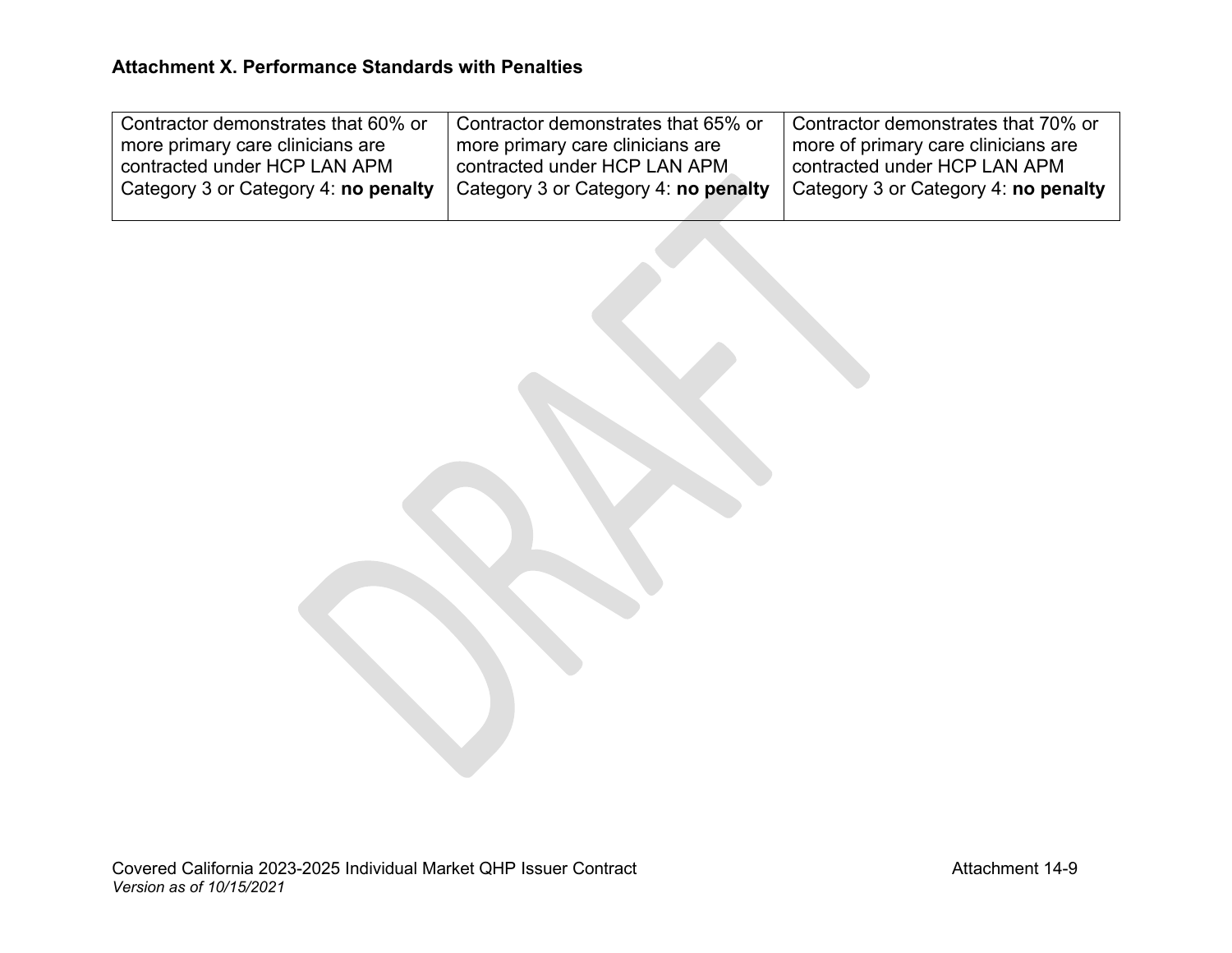| Ⅰ Contractor demonstrates that 60% or | Contractor demonstrates that 65% or  | Contractor demonstrates that 70% or  |
|---------------------------------------|--------------------------------------|--------------------------------------|
| more primary care clinicians are      | more primary care clinicians are     | more of primary care clinicians are  |
| l contracted under HCP LAN APM.       | contracted under HCP LAN APM         | contracted under HCP LAN APM         |
| Category 3 or Category 4: no penalty  | Category 3 or Category 4: no penalty | Category 3 or Category 4: no penalty |
|                                       |                                      |                                      |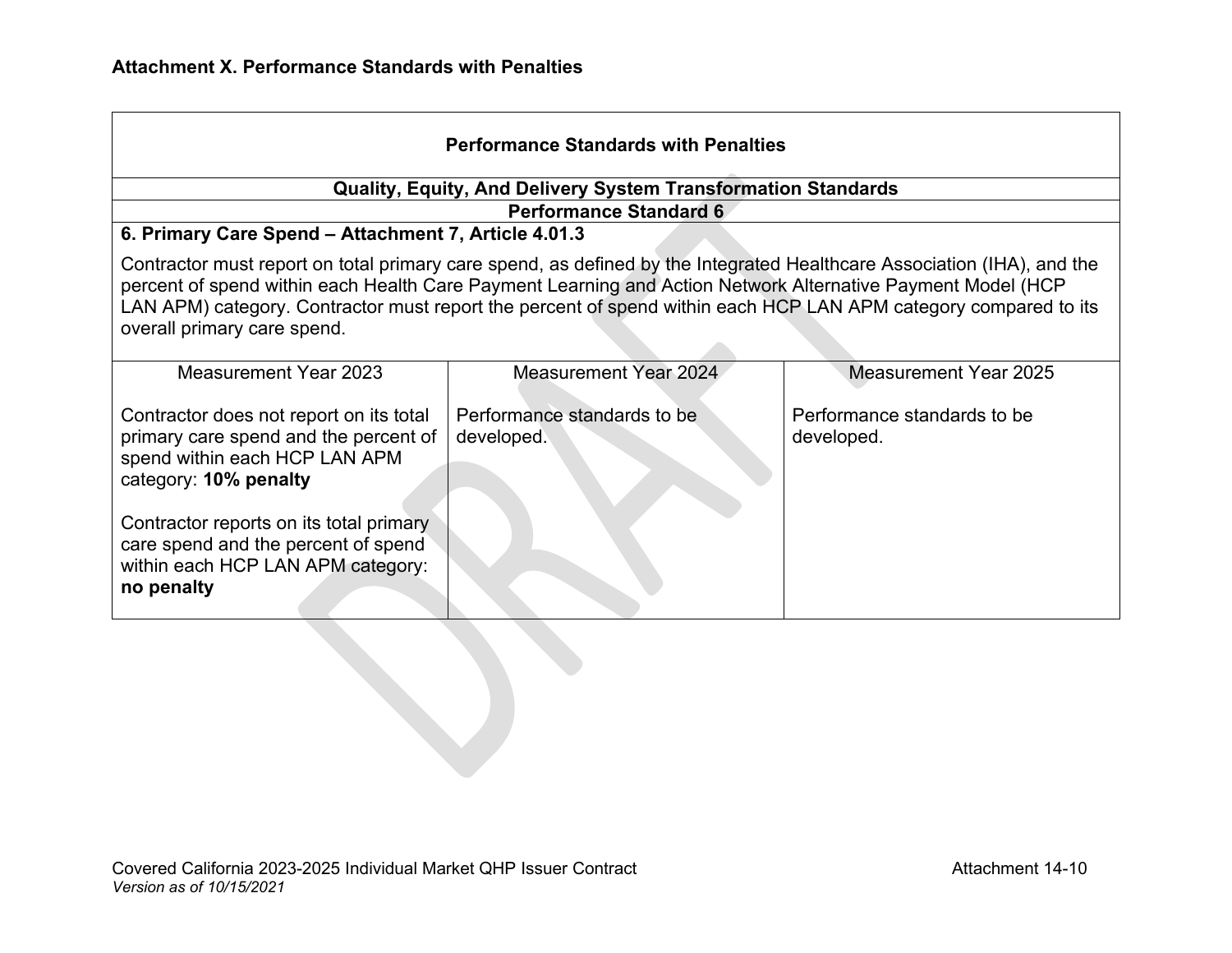| <b>Performance Standards with Penalties</b>                                                                                                                                                                                                                                                                                                                                             |                                                                                       |                                           |  |  |
|-----------------------------------------------------------------------------------------------------------------------------------------------------------------------------------------------------------------------------------------------------------------------------------------------------------------------------------------------------------------------------------------|---------------------------------------------------------------------------------------|-------------------------------------------|--|--|
| <b>Quality, Equity, And Delivery System Transformation Standards</b>                                                                                                                                                                                                                                                                                                                    |                                                                                       |                                           |  |  |
|                                                                                                                                                                                                                                                                                                                                                                                         | <b>Performance Standard 6</b><br>6. Primary Care Spend - Attachment 7, Article 4.01.3 |                                           |  |  |
| Contractor must report on total primary care spend, as defined by the Integrated Healthcare Association (IHA), and the<br>percent of spend within each Health Care Payment Learning and Action Network Alternative Payment Model (HCP<br>LAN APM) category. Contractor must report the percent of spend within each HCP LAN APM category compared to its<br>overall primary care spend. |                                                                                       |                                           |  |  |
| <b>Measurement Year 2023</b>                                                                                                                                                                                                                                                                                                                                                            | <b>Measurement Year 2024</b>                                                          | <b>Measurement Year 2025</b>              |  |  |
| Contractor does not report on its total<br>primary care spend and the percent of<br>spend within each HCP LAN APM<br>category: 10% penalty                                                                                                                                                                                                                                              | Performance standards to be<br>developed.                                             | Performance standards to be<br>developed. |  |  |
| Contractor reports on its total primary<br>care spend and the percent of spend<br>within each HCP LAN APM category:<br>no penalty                                                                                                                                                                                                                                                       |                                                                                       |                                           |  |  |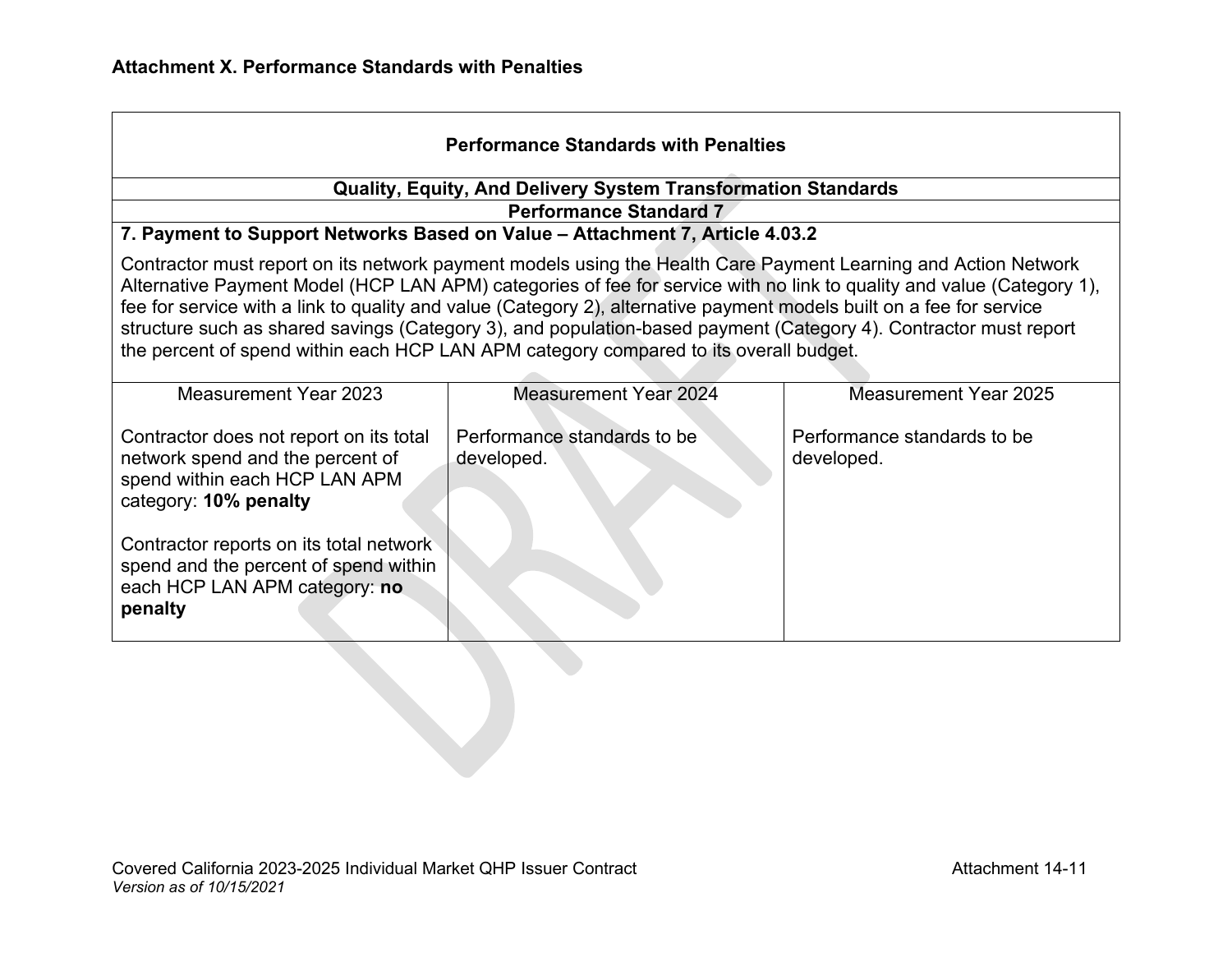| <b>Performance Standards with Penalties</b>                                                                                                                                                                                                                                                                                                                                                                                                                                                                                                                                                                                                                  |                                                               |                                           |  |
|--------------------------------------------------------------------------------------------------------------------------------------------------------------------------------------------------------------------------------------------------------------------------------------------------------------------------------------------------------------------------------------------------------------------------------------------------------------------------------------------------------------------------------------------------------------------------------------------------------------------------------------------------------------|---------------------------------------------------------------|-------------------------------------------|--|
|                                                                                                                                                                                                                                                                                                                                                                                                                                                                                                                                                                                                                                                              | Quality, Equity, And Delivery System Transformation Standards |                                           |  |
|                                                                                                                                                                                                                                                                                                                                                                                                                                                                                                                                                                                                                                                              | <b>Performance Standard 7</b>                                 |                                           |  |
| 7. Payment to Support Networks Based on Value - Attachment 7, Article 4.03.2<br>Contractor must report on its network payment models using the Health Care Payment Learning and Action Network<br>Alternative Payment Model (HCP LAN APM) categories of fee for service with no link to quality and value (Category 1),<br>fee for service with a link to quality and value (Category 2), alternative payment models built on a fee for service<br>structure such as shared savings (Category 3), and population-based payment (Category 4). Contractor must report<br>the percent of spend within each HCP LAN APM category compared to its overall budget. |                                                               |                                           |  |
| Measurement Year 2023                                                                                                                                                                                                                                                                                                                                                                                                                                                                                                                                                                                                                                        | Measurement Year 2024                                         | Measurement Year 2025                     |  |
| Contractor does not report on its total<br>network spend and the percent of<br>spend within each HCP LAN APM<br>category: 10% penalty                                                                                                                                                                                                                                                                                                                                                                                                                                                                                                                        | Performance standards to be<br>developed.                     | Performance standards to be<br>developed. |  |
| Contractor reports on its total network<br>spend and the percent of spend within<br>each HCP LAN APM category: no<br>penalty                                                                                                                                                                                                                                                                                                                                                                                                                                                                                                                                 |                                                               |                                           |  |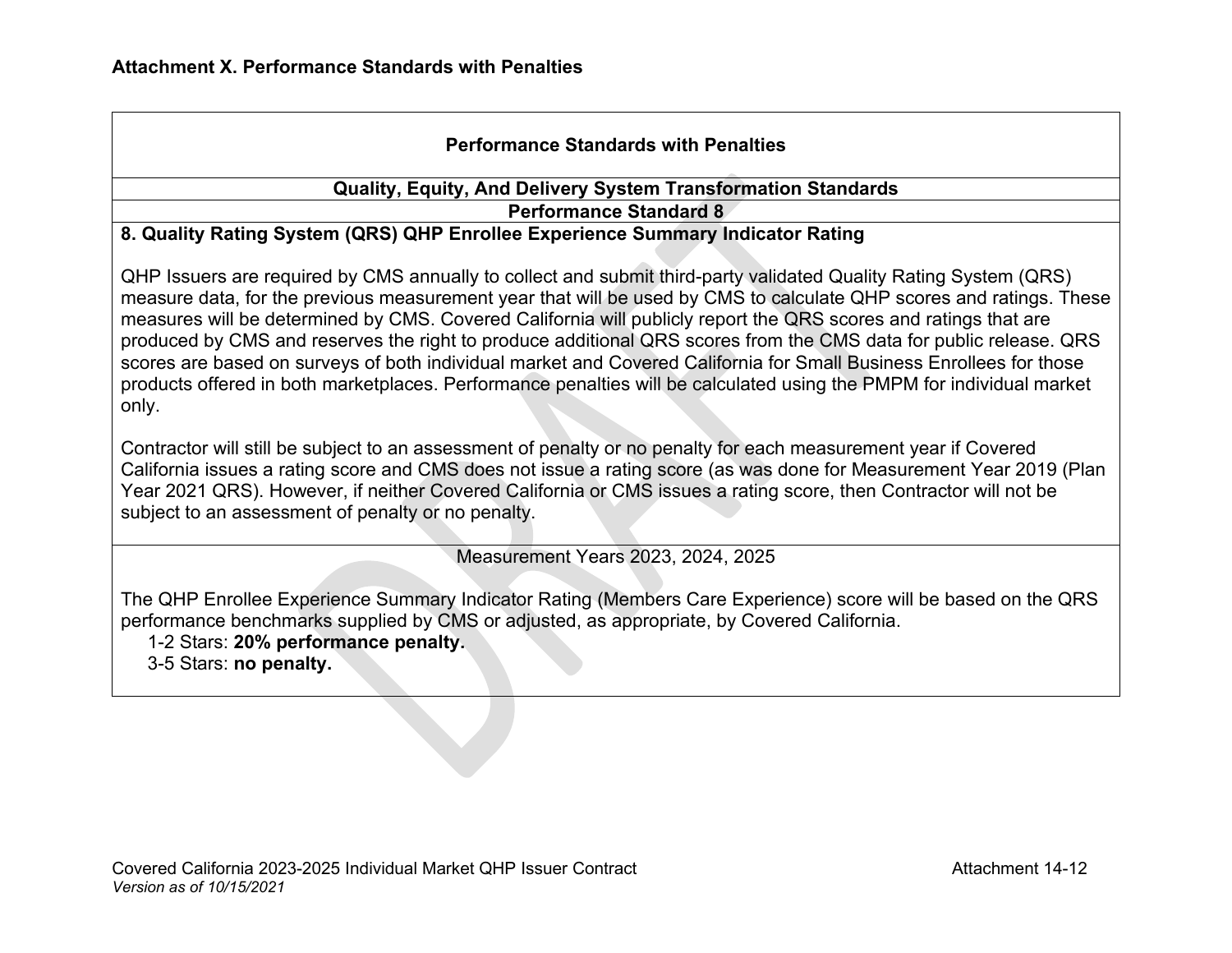# **Performance Standards with Penalties**

#### **Quality, Equity, And Delivery System Transformation Standards Performance Standard 8**

#### **8. Quality Rating System (QRS) QHP Enrollee Experience Summary Indicator Rating**

QHP Issuers are required by CMS annually to collect and submit third-party validated Quality Rating System (QRS) measure data, for the previous measurement year that will be used by CMS to calculate QHP scores and ratings. These measures will be determined by CMS. Covered California will publicly report the QRS scores and ratings that are produced by CMS and reserves the right to produce additional QRS scores from the CMS data for public release. QRS scores are based on surveys of both individual market and Covered California for Small Business Enrollees for those products offered in both marketplaces. Performance penalties will be calculated using the PMPM for individual market only.

Contractor will still be subject to an assessment of penalty or no penalty for each measurement year if Covered California issues a rating score and CMS does not issue a rating score (as was done for Measurement Year 2019 (Plan Year 2021 QRS). However, if neither Covered California or CMS issues a rating score, then Contractor will not be subject to an assessment of penalty or no penalty.

Measurement Years 2023, 2024, 2025

The QHP Enrollee Experience Summary Indicator Rating (Members Care Experience) score will be based on the QRS performance benchmarks supplied by CMS or adjusted, as appropriate, by Covered California.

1-2 Stars: **20% performance penalty.** 

3-5 Stars: **no penalty.**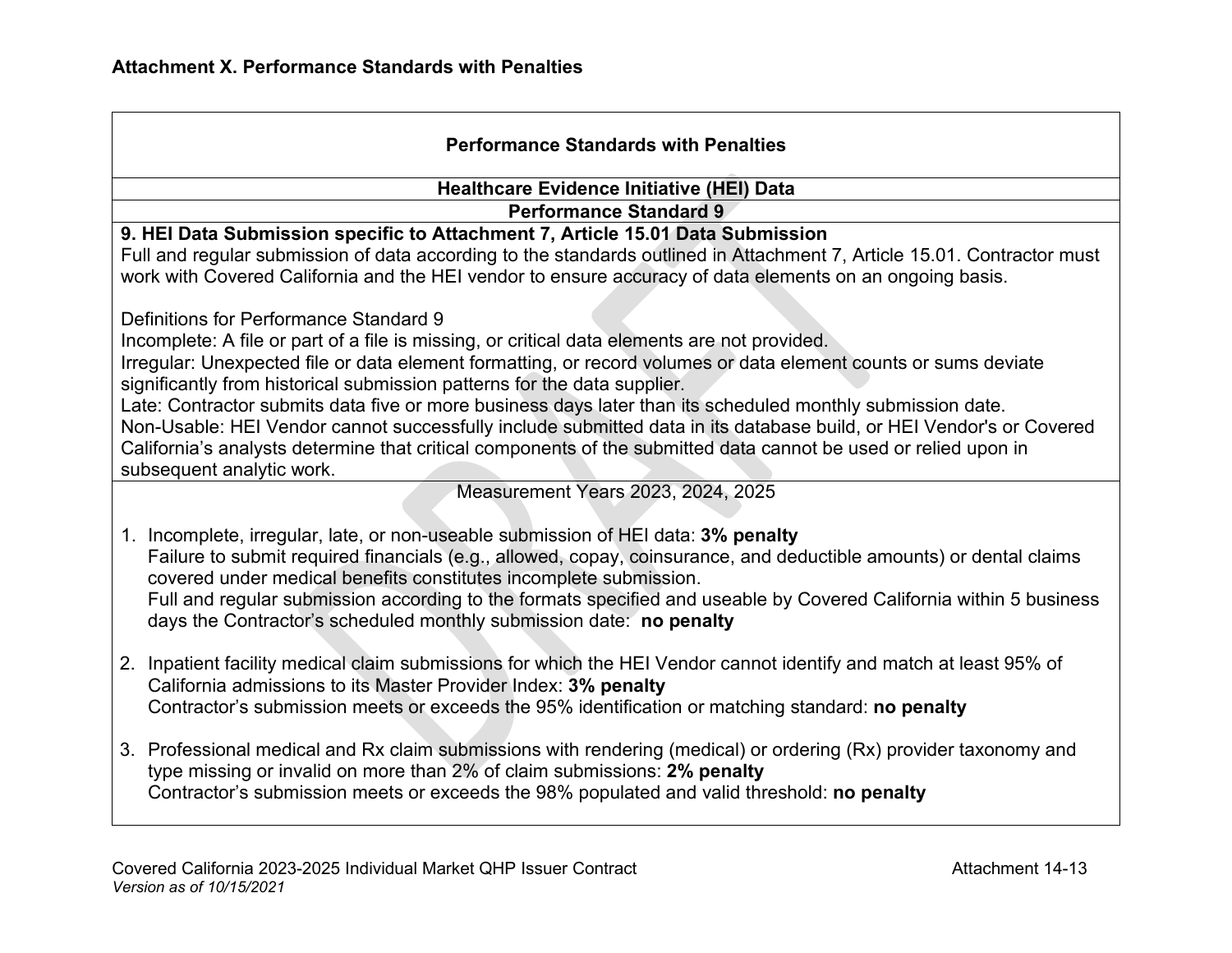| <b>Performance Standards with Penalties</b>                                                                                                                                                                                                                                                                                                                                                                                                                                                                                                                                                                                                                                                                                |  |  |
|----------------------------------------------------------------------------------------------------------------------------------------------------------------------------------------------------------------------------------------------------------------------------------------------------------------------------------------------------------------------------------------------------------------------------------------------------------------------------------------------------------------------------------------------------------------------------------------------------------------------------------------------------------------------------------------------------------------------------|--|--|
| <b>Healthcare Evidence Initiative (HEI) Data</b>                                                                                                                                                                                                                                                                                                                                                                                                                                                                                                                                                                                                                                                                           |  |  |
| <b>Performance Standard 9</b>                                                                                                                                                                                                                                                                                                                                                                                                                                                                                                                                                                                                                                                                                              |  |  |
| 9. HEI Data Submission specific to Attachment 7, Article 15.01 Data Submission<br>Full and regular submission of data according to the standards outlined in Attachment 7, Article 15.01. Contractor must<br>work with Covered California and the HEI vendor to ensure accuracy of data elements on an ongoing basis.                                                                                                                                                                                                                                                                                                                                                                                                      |  |  |
| Definitions for Performance Standard 9<br>Incomplete: A file or part of a file is missing, or critical data elements are not provided.<br>Irregular: Unexpected file or data element formatting, or record volumes or data element counts or sums deviate<br>significantly from historical submission patterns for the data supplier.<br>Late: Contractor submits data five or more business days later than its scheduled monthly submission date.<br>Non-Usable: HEI Vendor cannot successfully include submitted data in its database build, or HEI Vendor's or Covered<br>California's analysts determine that critical components of the submitted data cannot be used or relied upon in<br>subsequent analytic work. |  |  |
| Measurement Years 2023, 2024, 2025                                                                                                                                                                                                                                                                                                                                                                                                                                                                                                                                                                                                                                                                                         |  |  |
| 1. Incomplete, irregular, late, or non-useable submission of HEI data: 3% penalty<br>Failure to submit required financials (e.g., allowed, copay, coinsurance, and deductible amounts) or dental claims<br>covered under medical benefits constitutes incomplete submission.<br>Full and regular submission according to the formats specified and useable by Covered California within 5 business<br>days the Contractor's scheduled monthly submission date: no penalty                                                                                                                                                                                                                                                  |  |  |
| 2. Inpatient facility medical claim submissions for which the HEI Vendor cannot identify and match at least 95% of<br>California admissions to its Master Provider Index: 3% penalty<br>Contractor's submission meets or exceeds the 95% identification or matching standard: no penalty                                                                                                                                                                                                                                                                                                                                                                                                                                   |  |  |
| 3. Professional medical and Rx claim submissions with rendering (medical) or ordering (Rx) provider taxonomy and<br>type missing or invalid on more than 2% of claim submissions: 2% penalty<br>Contractor's submission meets or exceeds the 98% populated and valid threshold: no penalty                                                                                                                                                                                                                                                                                                                                                                                                                                 |  |  |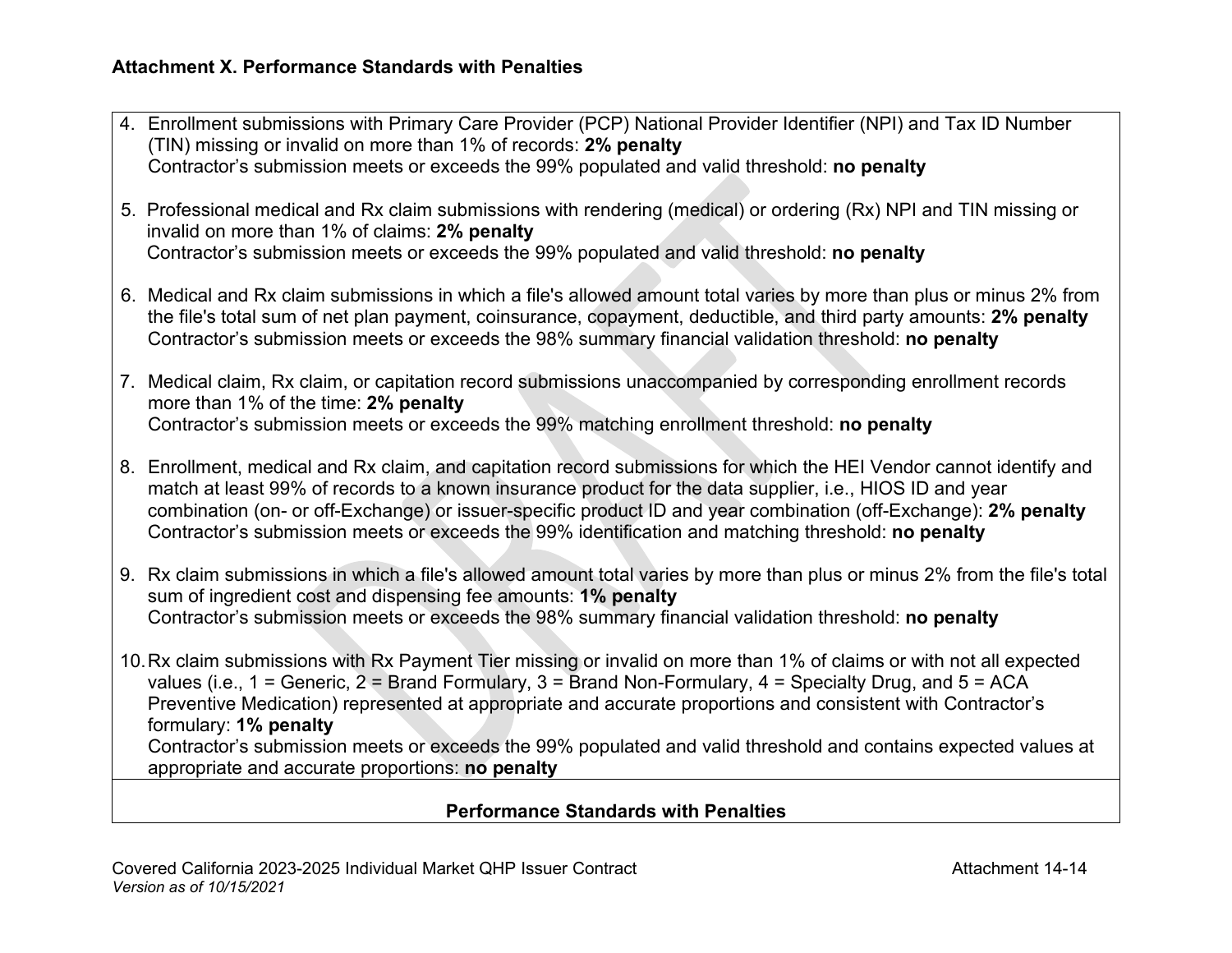| 4. Enrollment submissions with Primary Care Provider (PCP) National Provider Identifier (NPI) and Tax ID Number<br>(TIN) missing or invalid on more than 1% of records: 2% penalty                                                                                                                                                                                                                                                                       |
|----------------------------------------------------------------------------------------------------------------------------------------------------------------------------------------------------------------------------------------------------------------------------------------------------------------------------------------------------------------------------------------------------------------------------------------------------------|
| Contractor's submission meets or exceeds the 99% populated and valid threshold: no penalty                                                                                                                                                                                                                                                                                                                                                               |
| 5. Professional medical and Rx claim submissions with rendering (medical) or ordering (Rx) NPI and TIN missing or<br>invalid on more than 1% of claims: 2% penalty                                                                                                                                                                                                                                                                                       |
| Contractor's submission meets or exceeds the 99% populated and valid threshold: no penalty                                                                                                                                                                                                                                                                                                                                                               |
| 6. Medical and Rx claim submissions in which a file's allowed amount total varies by more than plus or minus 2% from<br>the file's total sum of net plan payment, coinsurance, copayment, deductible, and third party amounts: 2% penalty<br>Contractor's submission meets or exceeds the 98% summary financial validation threshold: no penalty                                                                                                         |
| 7. Medical claim, Rx claim, or capitation record submissions unaccompanied by corresponding enrollment records<br>more than 1% of the time: 2% penalty                                                                                                                                                                                                                                                                                                   |
| Contractor's submission meets or exceeds the 99% matching enrollment threshold: no penalty                                                                                                                                                                                                                                                                                                                                                               |
| 8. Enrollment, medical and Rx claim, and capitation record submissions for which the HEI Vendor cannot identify and<br>match at least 99% of records to a known insurance product for the data supplier, i.e., HIOS ID and year<br>combination (on- or off-Exchange) or issuer-specific product ID and year combination (off-Exchange): 2% penalty<br>Contractor's submission meets or exceeds the 99% identification and matching threshold: no penalty |
| 9. Rx claim submissions in which a file's allowed amount total varies by more than plus or minus 2% from the file's total<br>sum of ingredient cost and dispensing fee amounts: 1% penalty                                                                                                                                                                                                                                                               |
| Contractor's submission meets or exceeds the 98% summary financial validation threshold: no penalty                                                                                                                                                                                                                                                                                                                                                      |
| 10. Rx claim submissions with Rx Payment Tier missing or invalid on more than 1% of claims or with not all expected<br>values (i.e., $1 =$ Generic, $2 =$ Brand Formulary, $3 =$ Brand Non-Formulary, $4 =$ Specialty Drug, and $5 =$ ACA                                                                                                                                                                                                                |
| Preventive Medication) represented at appropriate and accurate proportions and consistent with Contractor's                                                                                                                                                                                                                                                                                                                                              |
| formulary: 1% penalty<br>Contractor's submission meets or exceeds the 99% populated and valid threshold and contains expected values at                                                                                                                                                                                                                                                                                                                  |
| appropriate and accurate proportions: no penalty                                                                                                                                                                                                                                                                                                                                                                                                         |
| <b>Dorformance Standards with Donaltics</b>                                                                                                                                                                                                                                                                                                                                                                                                              |